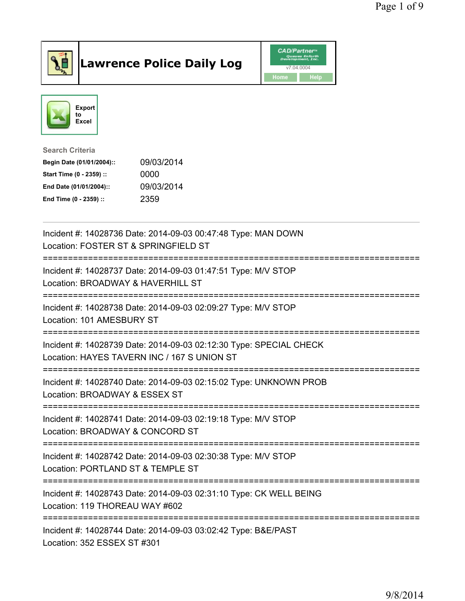

## Lawrence Police Daily Log **Daniel CAD/Partner**





Search Criteria Begin Date (01/01/2004):: 09/03/2014 Start Time (0 - 2359) :: 0000 End Date (01/01/2004):: 09/03/2014 End Time (0 - 2359) :: 2359

| Incident #: 14028736 Date: 2014-09-03 00:47:48 Type: MAN DOWN<br>Location: FOSTER ST & SPRINGFIELD ST<br>:=======================         |
|-------------------------------------------------------------------------------------------------------------------------------------------|
| Incident #: 14028737 Date: 2014-09-03 01:47:51 Type: M/V STOP<br>Location: BROADWAY & HAVERHILL ST                                        |
| Incident #: 14028738 Date: 2014-09-03 02:09:27 Type: M/V STOP<br>Location: 101 AMESBURY ST                                                |
| Incident #: 14028739 Date: 2014-09-03 02:12:30 Type: SPECIAL CHECK<br>Location: HAYES TAVERN INC / 167 S UNION ST                         |
| Incident #: 14028740 Date: 2014-09-03 02:15:02 Type: UNKNOWN PROB<br>Location: BROADWAY & ESSEX ST<br>=================================== |
| Incident #: 14028741 Date: 2014-09-03 02:19:18 Type: M/V STOP<br>Location: BROADWAY & CONCORD ST                                          |
| Incident #: 14028742 Date: 2014-09-03 02:30:38 Type: M/V STOP<br>Location: PORTLAND ST & TEMPLE ST                                        |
| Incident #: 14028743 Date: 2014-09-03 02:31:10 Type: CK WELL BEING<br>Location: 119 THOREAU WAY #602                                      |
| Incident #: 14028744 Date: 2014-09-03 03:02:42 Type: B&E/PAST<br>Location: 352 ESSEX ST #301                                              |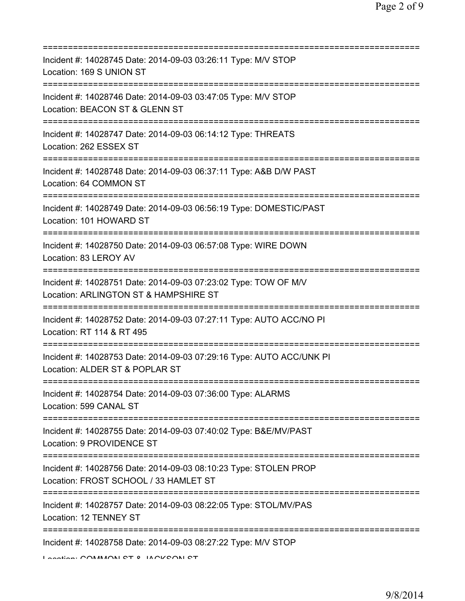| Incident #: 14028745 Date: 2014-09-03 03:26:11 Type: M/V STOP<br>Location: 169 S UNION ST                                             |
|---------------------------------------------------------------------------------------------------------------------------------------|
| Incident #: 14028746 Date: 2014-09-03 03:47:05 Type: M/V STOP<br>Location: BEACON ST & GLENN ST                                       |
| Incident #: 14028747 Date: 2014-09-03 06:14:12 Type: THREATS<br>Location: 262 ESSEX ST<br>-----------------                           |
| Incident #: 14028748 Date: 2014-09-03 06:37:11 Type: A&B D/W PAST<br>Location: 64 COMMON ST                                           |
| Incident #: 14028749 Date: 2014-09-03 06:56:19 Type: DOMESTIC/PAST<br>Location: 101 HOWARD ST<br>;=================================== |
| Incident #: 14028750 Date: 2014-09-03 06:57:08 Type: WIRE DOWN<br>Location: 83 LEROY AV                                               |
| Incident #: 14028751 Date: 2014-09-03 07:23:02 Type: TOW OF M/V<br>Location: ARLINGTON ST & HAMPSHIRE ST                              |
| Incident #: 14028752 Date: 2014-09-03 07:27:11 Type: AUTO ACC/NO PI<br>Location: RT 114 & RT 495                                      |
| Incident #: 14028753 Date: 2014-09-03 07:29:16 Type: AUTO ACC/UNK PI<br>Location: ALDER ST & POPLAR ST                                |
| Incident #: 14028754 Date: 2014-09-03 07:36:00 Type: ALARMS<br>Location: 599 CANAL ST                                                 |
| Incident #: 14028755 Date: 2014-09-03 07:40:02 Type: B&E/MV/PAST<br>Location: 9 PROVIDENCE ST                                         |
| Incident #: 14028756 Date: 2014-09-03 08:10:23 Type: STOLEN PROP<br>Location: FROST SCHOOL / 33 HAMLET ST                             |
| Incident #: 14028757 Date: 2014-09-03 08:22:05 Type: STOL/MV/PAS<br>Location: 12 TENNEY ST                                            |
| Incident #: 14028758 Date: 2014-09-03 08:27:22 Type: M/V STOP<br>Lootion COMMONICTO IMPICONICT                                        |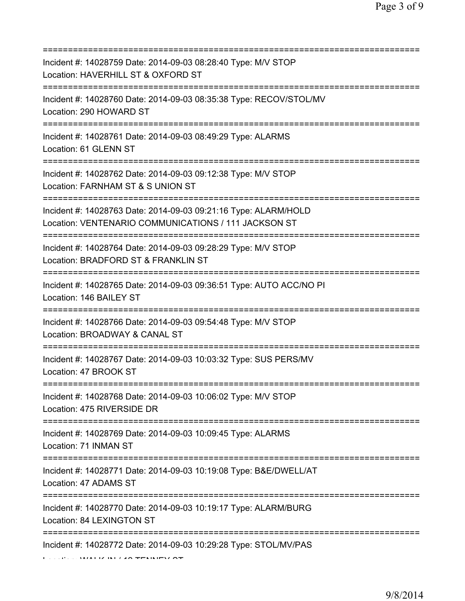| Incident #: 14028759 Date: 2014-09-03 08:28:40 Type: M/V STOP<br>Location: HAVERHILL ST & OXFORD ST                                |
|------------------------------------------------------------------------------------------------------------------------------------|
| Incident #: 14028760 Date: 2014-09-03 08:35:38 Type: RECOV/STOL/MV<br>Location: 290 HOWARD ST                                      |
| Incident #: 14028761 Date: 2014-09-03 08:49:29 Type: ALARMS<br>Location: 61 GLENN ST                                               |
| Incident #: 14028762 Date: 2014-09-03 09:12:38 Type: M/V STOP<br>Location: FARNHAM ST & S UNION ST                                 |
| Incident #: 14028763 Date: 2014-09-03 09:21:16 Type: ALARM/HOLD<br>Location: VENTENARIO COMMUNICATIONS / 111 JACKSON ST            |
| Incident #: 14028764 Date: 2014-09-03 09:28:29 Type: M/V STOP<br>Location: BRADFORD ST & FRANKLIN ST<br>=========================  |
| Incident #: 14028765 Date: 2014-09-03 09:36:51 Type: AUTO ACC/NO PI<br>Location: 146 BAILEY ST                                     |
| ================================<br>Incident #: 14028766 Date: 2014-09-03 09:54:48 Type: M/V STOP<br>Location: BROADWAY & CANAL ST |
| Incident #: 14028767 Date: 2014-09-03 10:03:32 Type: SUS PERS/MV<br>Location: 47 BROOK ST                                          |
| Incident #: 14028768 Date: 2014-09-03 10:06:02 Type: M/V STOP<br>Location: 475 RIVERSIDE DR                                        |
| Incident #: 14028769 Date: 2014-09-03 10:09:45 Type: ALARMS<br>Location: 71 INMAN ST                                               |
| Incident #: 14028771 Date: 2014-09-03 10:19:08 Type: B&E/DWELL/AT<br>Location: 47 ADAMS ST                                         |
| Incident #: 14028770 Date: 2014-09-03 10:19:17 Type: ALARM/BURG<br>Location: 84 LEXINGTON ST                                       |
| Incident #: 14028772 Date: 2014-09-03 10:29:28 Type: STOL/MV/PAS                                                                   |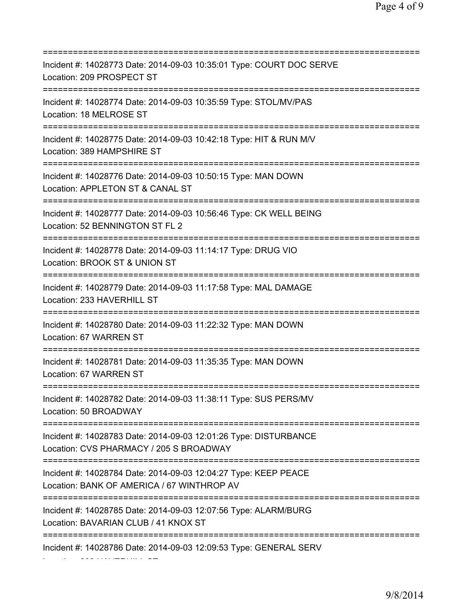=========================================================================== Incident #: 14028773 Date: 2014-09-03 10:35:01 Type: COURT DOC SERVE Location: 209 PROSPECT ST =========================================================================== Incident #: 14028774 Date: 2014-09-03 10:35:59 Type: STOL/MV/PAS Location: 18 MELROSE ST =========================================================================== Incident #: 14028775 Date: 2014-09-03 10:42:18 Type: HIT & RUN M/V Location: 389 HAMPSHIRE ST =========================================================================== Incident #: 14028776 Date: 2014-09-03 10:50:15 Type: MAN DOWN Location: APPLETON ST & CANAL ST =========================================================================== Incident #: 14028777 Date: 2014-09-03 10:56:46 Type: CK WELL BEING Location: 52 BENNINGTON ST FL 2 =========================================================================== Incident #: 14028778 Date: 2014-09-03 11:14:17 Type: DRUG VIO Location: BROOK ST & UNION ST =========================================================================== Incident #: 14028779 Date: 2014-09-03 11:17:58 Type: MAL DAMAGE Location: 233 HAVERHILL ST =========================================================================== Incident #: 14028780 Date: 2014-09-03 11:22:32 Type: MAN DOWN Location: 67 WARREN ST =========================================================================== Incident #: 14028781 Date: 2014-09-03 11:35:35 Type: MAN DOWN Location: 67 WARREN ST =========================================================================== Incident #: 14028782 Date: 2014-09-03 11:38:11 Type: SUS PERS/MV Location: 50 BROADWAY =========================================================================== Incident #: 14028783 Date: 2014-09-03 12:01:26 Type: DISTURBANCE Location: CVS PHARMACY / 205 S BROADWAY =========================================================================== Incident #: 14028784 Date: 2014-09-03 12:04:27 Type: KEEP PEACE Location: BANK OF AMERICA / 67 WINTHROP AV =========================================================================== Incident #: 14028785 Date: 2014-09-03 12:07:56 Type: ALARM/BURG Location: BAVARIAN CLUB / 41 KNOX ST =========================================================================== Incident #: 14028786 Date: 2014-09-03 12:09:53 Type: GENERAL SERV

Location: 233 HAVERHILL ST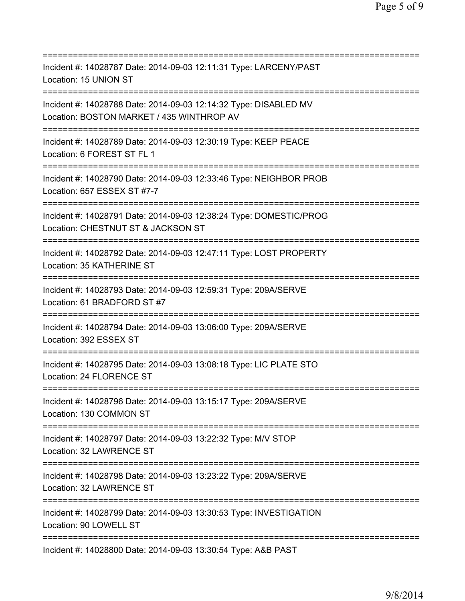| Incident #: 14028787 Date: 2014-09-03 12:11:31 Type: LARCENY/PAST<br>Location: 15 UNION ST                                           |
|--------------------------------------------------------------------------------------------------------------------------------------|
| Incident #: 14028788 Date: 2014-09-03 12:14:32 Type: DISABLED MV<br>Location: BOSTON MARKET / 435 WINTHROP AV                        |
| Incident #: 14028789 Date: 2014-09-03 12:30:19 Type: KEEP PEACE<br>Location: 6 FOREST ST FL 1<br>=================================== |
| Incident #: 14028790 Date: 2014-09-03 12:33:46 Type: NEIGHBOR PROB<br>Location: 657 ESSEX ST #7-7                                    |
| Incident #: 14028791 Date: 2014-09-03 12:38:24 Type: DOMESTIC/PROG<br>Location: CHESTNUT ST & JACKSON ST                             |
| Incident #: 14028792 Date: 2014-09-03 12:47:11 Type: LOST PROPERTY<br>Location: 35 KATHERINE ST                                      |
| Incident #: 14028793 Date: 2014-09-03 12:59:31 Type: 209A/SERVE<br>Location: 61 BRADFORD ST #7                                       |
| Incident #: 14028794 Date: 2014-09-03 13:06:00 Type: 209A/SERVE<br>Location: 392 ESSEX ST                                            |
| Incident #: 14028795 Date: 2014-09-03 13:08:18 Type: LIC PLATE STO<br>Location: 24 FLORENCE ST                                       |
| Incident #: 14028796 Date: 2014-09-03 13:15:17 Type: 209A/SERVE<br>Location: 130 COMMON ST                                           |
| Incident #: 14028797 Date: 2014-09-03 13:22:32 Type: M/V STOP<br>Location: 32 LAWRENCE ST                                            |
| Incident #: 14028798 Date: 2014-09-03 13:23:22 Type: 209A/SERVE<br>Location: 32 LAWRENCE ST                                          |
| Incident #: 14028799 Date: 2014-09-03 13:30:53 Type: INVESTIGATION<br>Location: 90 LOWELL ST                                         |
| Incident #: 14028800 Date: 2014-09-03 13:30:54 Type: A&B PAST                                                                        |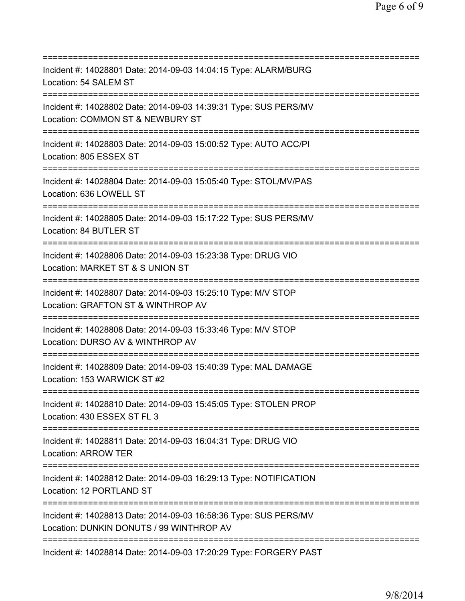| ==========================                                                                                                             |
|----------------------------------------------------------------------------------------------------------------------------------------|
| Incident #: 14028801 Date: 2014-09-03 14:04:15 Type: ALARM/BURG<br>Location: 54 SALEM ST                                               |
| Incident #: 14028802 Date: 2014-09-03 14:39:31 Type: SUS PERS/MV<br>Location: COMMON ST & NEWBURY ST<br>===========================    |
| Incident #: 14028803 Date: 2014-09-03 15:00:52 Type: AUTO ACC/PI<br>Location: 805 ESSEX ST                                             |
| Incident #: 14028804 Date: 2014-09-03 15:05:40 Type: STOL/MV/PAS<br>Location: 636 LOWELL ST                                            |
| Incident #: 14028805 Date: 2014-09-03 15:17:22 Type: SUS PERS/MV<br>Location: 84 BUTLER ST<br>=====================================    |
| Incident #: 14028806 Date: 2014-09-03 15:23:38 Type: DRUG VIO<br>Location: MARKET ST & S UNION ST<br>================================= |
| Incident #: 14028807 Date: 2014-09-03 15:25:10 Type: M/V STOP<br>Location: GRAFTON ST & WINTHROP AV                                    |
| Incident #: 14028808 Date: 2014-09-03 15:33:46 Type: M/V STOP<br>Location: DURSO AV & WINTHROP AV<br>:=============                    |
| Incident #: 14028809 Date: 2014-09-03 15:40:39 Type: MAL DAMAGE<br>Location: 153 WARWICK ST #2                                         |
| Incident #: 14028810 Date: 2014-09-03 15:45:05 Type: STOLEN PROP<br>Location: 430 ESSEX ST FL 3                                        |
| Incident #: 14028811 Date: 2014-09-03 16:04:31 Type: DRUG VIO<br><b>Location: ARROW TER</b>                                            |
| Incident #: 14028812 Date: 2014-09-03 16:29:13 Type: NOTIFICATION<br>Location: 12 PORTLAND ST                                          |
| Incident #: 14028813 Date: 2014-09-03 16:58:36 Type: SUS PERS/MV<br>Location: DUNKIN DONUTS / 99 WINTHROP AV                           |
| ===============================<br>Incident #: 14028814 Date: 2014-09-03 17:20:29 Type: FORGERY PAST                                   |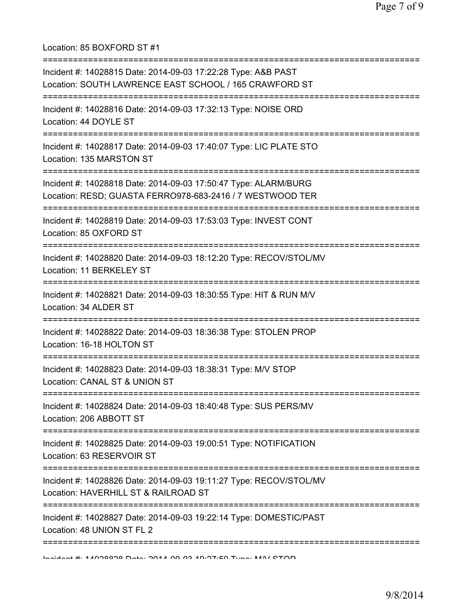Location: 85 BOXFORD ST #1

| Incident #: 14028815 Date: 2014-09-03 17:22:28 Type: A&B PAST<br>Location: SOUTH LAWRENCE EAST SCHOOL / 165 CRAWFORD ST      |
|------------------------------------------------------------------------------------------------------------------------------|
| Incident #: 14028816 Date: 2014-09-03 17:32:13 Type: NOISE ORD<br>Location: 44 DOYLE ST                                      |
| Incident #: 14028817 Date: 2014-09-03 17:40:07 Type: LIC PLATE STO<br>Location: 135 MARSTON ST                               |
| Incident #: 14028818 Date: 2014-09-03 17:50:47 Type: ALARM/BURG<br>Location: RESD; GUASTA FERRO978-683-2416 / 7 WESTWOOD TER |
| Incident #: 14028819 Date: 2014-09-03 17:53:03 Type: INVEST CONT<br>Location: 85 OXFORD ST                                   |
| Incident #: 14028820 Date: 2014-09-03 18:12:20 Type: RECOV/STOL/MV<br>Location: 11 BERKELEY ST                               |
| Incident #: 14028821 Date: 2014-09-03 18:30:55 Type: HIT & RUN M/V<br>Location: 34 ALDER ST                                  |
| Incident #: 14028822 Date: 2014-09-03 18:36:38 Type: STOLEN PROP<br>Location: 16-18 HOLTON ST                                |
| Incident #: 14028823 Date: 2014-09-03 18:38:31 Type: M/V STOP<br>Location: CANAL ST & UNION ST                               |
| Incident #: 14028824 Date: 2014-09-03 18:40:48 Type: SUS PERS/MV<br>Location: 206 ABBOTT ST                                  |
| Incident #: 14028825 Date: 2014-09-03 19:00:51 Type: NOTIFICATION<br>Location: 63 RESERVOIR ST                               |
| Incident #: 14028826 Date: 2014-09-03 19:11:27 Type: RECOV/STOL/MV<br>Location: HAVERHILL ST & RAILROAD ST                   |
| Incident #: 14028827 Date: 2014-09-03 19:22:14 Type: DOMESTIC/PAST<br>Location: 48 UNION ST FL 2                             |
|                                                                                                                              |

Incident #: 14028828 Date: 2014 09 03 19:27:50 Type: M/V STOP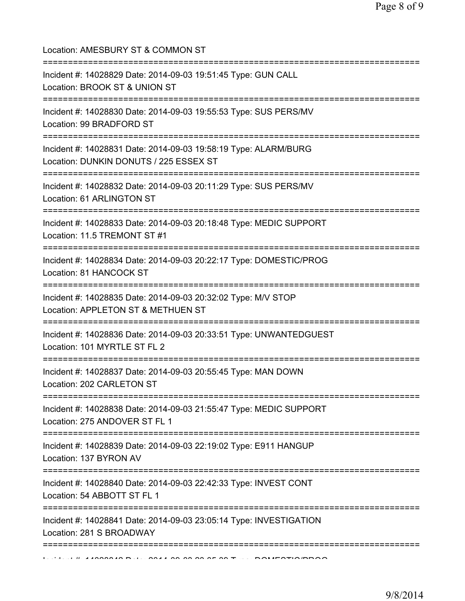| Location: AMESBURY ST & COMMON ST<br>======================================                                                              |
|------------------------------------------------------------------------------------------------------------------------------------------|
| Incident #: 14028829 Date: 2014-09-03 19:51:45 Type: GUN CALL<br>Location: BROOK ST & UNION ST                                           |
| Incident #: 14028830 Date: 2014-09-03 19:55:53 Type: SUS PERS/MV<br>Location: 99 BRADFORD ST<br>-------------------------------          |
| Incident #: 14028831 Date: 2014-09-03 19:58:19 Type: ALARM/BURG<br>Location: DUNKIN DONUTS / 225 ESSEX ST                                |
| Incident #: 14028832 Date: 2014-09-03 20:11:29 Type: SUS PERS/MV<br>Location: 61 ARLINGTON ST                                            |
| Incident #: 14028833 Date: 2014-09-03 20:18:48 Type: MEDIC SUPPORT<br>Location: 11.5 TREMONT ST #1                                       |
| Incident #: 14028834 Date: 2014-09-03 20:22:17 Type: DOMESTIC/PROG<br>Location: 81 HANCOCK ST                                            |
| Incident #: 14028835 Date: 2014-09-03 20:32:02 Type: M/V STOP<br>Location: APPLETON ST & METHUEN ST<br>===========================       |
| Incident #: 14028836 Date: 2014-09-03 20:33:51 Type: UNWANTEDGUEST<br>Location: 101 MYRTLE ST FL 2                                       |
| Incident #: 14028837 Date: 2014-09-03 20:55:45 Type: MAN DOWN<br>Location: 202 CARLETON ST<br>=================================          |
| Incident #: 14028838 Date: 2014-09-03 21:55:47 Type: MEDIC SUPPORT<br>Location: 275 ANDOVER ST FL 1                                      |
| ============<br>Incident #: 14028839 Date: 2014-09-03 22:19:02 Type: E911 HANGUP<br>Location: 137 BYRON AV                               |
| Incident #: 14028840 Date: 2014-09-03 22:42:33 Type: INVEST CONT<br>Location: 54 ABBOTT ST FL 1                                          |
| ======================================<br>Incident #: 14028841 Date: 2014-09-03 23:05:14 Type: INVESTIGATION<br>Location: 281 S BROADWAY |
| ===========================                                                                                                              |